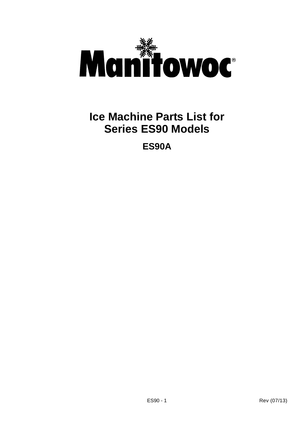

# **Ice Machine Parts List for Series ES90 Models**

**ES90A**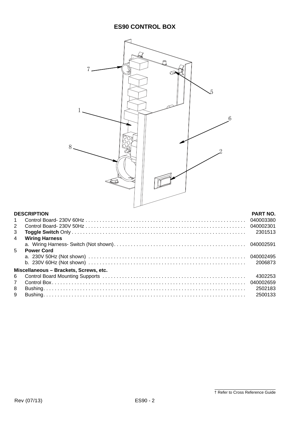| $\overline{5}$<br>6<br>8<br>೧≢         |                                   |
|----------------------------------------|-----------------------------------|
|                                        |                                   |
| <b>DESCRIPTION</b>                     | <b>PART NO.</b>                   |
| 1<br>$\overline{2}$<br>3<br>4          | 040003380<br>040002301<br>2301513 |
| <b>Wiring Harness</b>                  | 040002591                         |
| 5<br><b>Power Cord</b>                 |                                   |
|                                        | 040002495<br>2006873              |
| Miscellaneous - Brackets, Screws, etc. |                                   |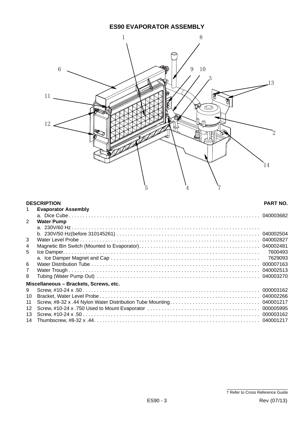# **ES90 EVAPORATOR ASSEMBLY**



### **DESCRIPTION PART NO.** 1 **Evaporator Assembly** a. Dice Cube . . . . . . . . . . . . . . . . . . . . . . . . . . . . . . . . . . . . . . . . . . . . . . . . . . . . . . . . . . . . . . . . . . . . 040003682 2 **Water Pump** a. 230V/60 Hz . . . . . . . . . . . . . . . . . . . . . . . . . . . . . . . . . . . . . . . . . . . . . . . . . . . . . . . . . . . . . . . . . . . b. 230V/50 Hz(before 310145261) . . . . . . . . . . . . . . . . . . . . . . . . . . . . . . . . . . . . . . . . . . . . . . . . . . . 040002504 3 Water Level Probe . . . . . . . . . . . . . . . . . . . . . . . . . . . . . . . . . . . . . . . . . . . . . . . . . . . . . . . . . . . . . . . . 040002827 4 Magnetic Bin Switch (Mounted to Evaporator). . . . . . . . . . . . . . . . . . . . . . . . . . . . . . . . . . . . . . . . . . . 040002481 5 Ice Damper. . . . . . . . . . . . . . . . . . . . . . . . . . . . . . . . . . . . . . . . . . . . . . . . . . . . . . . . . . . . . . . . . . . . . . 7600493 a. Ice Damper Magnet and Cap . . . . . . . . . . . . . . . . . . . . . . . . . . . . . . . . . . . . . . . . . . . . . . . . . . . . . 7629093 6 Water Distribution Tube . . . . . . . . . . . . . . . . . . . . . . . . . . . . . . . . . . . . . . . . . . . . . . . . . . . . . . . . . . . . 000007163 7 Water Trough . . . . . . . . . . . . . . . . . . . . . . . . . . . . . . . . . . . . . . . . . . . . . . . . . . . . . . . . . . . . . . . . . . . . 040002513 8 Tubing (Water Pump Out) . . . . . . . . . . . . . . . . . . . . . . . . . . . . . . . . . . . . . . . . . . . . . . . . . . . . . . . . . . 040003270 **Miscellaneous – Brackets, Screws, etc.** 9 Screw, #10-24 x .50 . . . . . . . . . . . . . . . . . . . . . . . . . . . . . . . . . . . . . . . . . . . . . . . . . . . . . . . . . . . . . . . 000003162 10 Bracket, Water Level Probe . . . . . . . . . . . . . . . . . . . . . . . . . . . . . . . . . . . . . . . . . . . . . . . . . . . . . . . . . 040002266 11 Screw, #8-32 x .44 Nylon Water Distribution Tube Mounting. . . . . . . . . . . . . . . . . . . . . . . . . . . . . . . . 040001217 12 Screw, #10-24 x .750 Used to Mount Evaporator . . . . . . . . . . . . . . . . . . . . . . . . . . . . . . . . . . . . . . . . 000005995 13 Screw, #10-24 x .50 . . . . . . . . . . . . . . . . . . . . . . . . . . . . . . . . . . . . . . . . . . . . . . . . . . . . . . . . . . . . . . . 000003162 14 Thumbscrew, #8-32 x .44. . . . . . . . . . . . . . . . . . . . . . . . . . . . . . . . . . . . . . . . . . . . . . . . . . . . . . . . . . . 040001217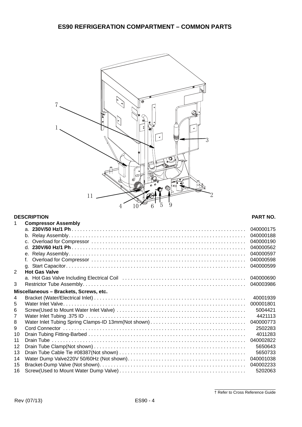

## **DESCRIPTION PART NO.**

| 1                                      | <b>Compressor Assembly</b> |           |
|----------------------------------------|----------------------------|-----------|
|                                        |                            | 040000175 |
|                                        |                            | 040000188 |
|                                        | C <sub>1</sub>             | 040000190 |
|                                        | d.                         | 040000562 |
|                                        | е.                         | 040000597 |
|                                        | f                          | 040000598 |
|                                        |                            | 040000599 |
| 2                                      | <b>Hot Gas Valve</b>       |           |
|                                        |                            | 040000690 |
| 3                                      |                            | 040003986 |
| Miscellaneous - Brackets, Screws, etc. |                            |           |
| 4                                      |                            | 40001939  |
| 5                                      |                            | 000001801 |
| 6                                      |                            | 5004421   |
| $\overline{7}$                         |                            | 4421113   |
| 8                                      |                            | 040000773 |
| 9                                      |                            | 2502283   |
| 10                                     |                            | 4011283   |
| 11                                     |                            | 040002822 |
| 12                                     |                            | 5650643   |
| 13                                     |                            | 5650733   |
| 14                                     |                            | 040001038 |
| 15                                     |                            | 040002233 |
| 16                                     |                            | 5202063   |

† Refer to Cross Reference Guide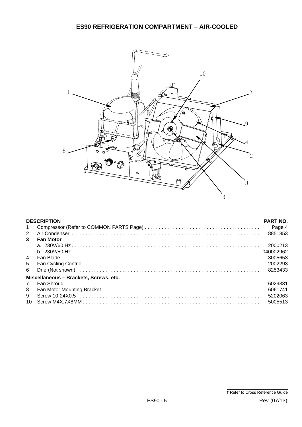

| <b>DESCRIPTION</b>                     |                  | <b>PART NO.</b> |  |  |
|----------------------------------------|------------------|-----------------|--|--|
| $\mathbf{1}$                           |                  | Page 4          |  |  |
| 2                                      |                  | 8851353         |  |  |
| $\mathbf{3}$                           | <b>Fan Motor</b> |                 |  |  |
|                                        |                  | 2000213         |  |  |
|                                        |                  |                 |  |  |
| $\overline{4}$                         |                  | 3005653         |  |  |
| 5                                      |                  | 2002293         |  |  |
| 6                                      |                  | 8253433         |  |  |
| Miscellaneous - Brackets, Screws, etc. |                  |                 |  |  |
| $\mathbf{7}$                           |                  | 6029381         |  |  |
| 8                                      |                  | 6061741         |  |  |
| 9                                      |                  | 5202063         |  |  |
| 10                                     |                  | 5005513         |  |  |